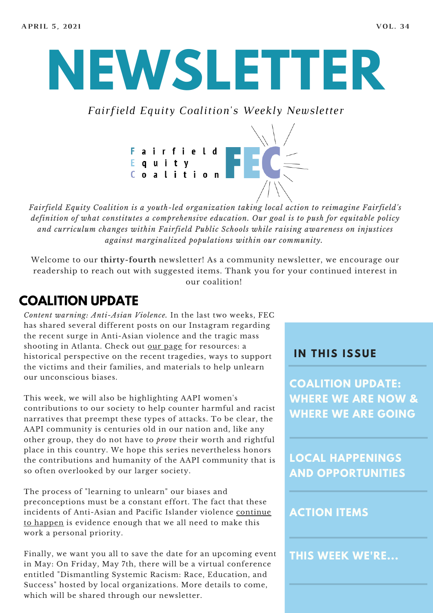# **NEWSLETTER**

*Fairfield Equity Coalition's Weekly Newsletter*



*Fairfield Equity Coalition is a youth-led organization taking local action to reimagine Fairfield's definition of what constitutes a comprehensive education. Our goal is to push for equitable policy and curriculum changes within Fairfield Public Schools while raising awareness on injustices against marginalized populations within our community.*

Welcome to our **thirty-fourth** newsletter! As a community newsletter, we encourage our readership to reach out with suggested items. Thank you for your continued interest in our coalition!

#### **COALITION UPDATE**

*Content warning: Anti-Asian Violence.* In the last two weeks, FEC has shared several different posts on our Instagram regarding the recent surge in Anti-Asian violence and the tragic mass shooting in Atlanta. Check out our [page](https://www.instagram.com/fairfieldequitycoalition/) for resources: a historical perspective on the recent tragedies, ways to support the victims and their families, and materials to help unlearn our unconscious biases.

This week, we will also be highlighting AAPI women's contributions to our society to help counter harmful and racist narratives that preempt these types of attacks. To be clear, the AAPI community is centuries old in our nation and, like any other group, they do not have to *prove* their worth and rightful place in this country. We hope this series nevertheless honors the contributions and humanity of the AAPI community that is so often overlooked by our larger society.

The process of "learning to unlearn" our biases and preconceptions must be a constant effort. The fact that these incidents of [Anti-Asian](http://nytimes.com/2021/03/30/nyregion/asian-attack-nyc.html) and Pacific Islander violence continue to happen is evidence enough that we all need to make this work a personal priority.

Finally, we want you all to save the date for an upcoming event in May: On Friday, May 7th, there will be a virtual conference entitled "Dismantling Systemic Racism: Race, Education, and Success" hosted by local organizations. More details to come, which will be shared through our newsletter.

#### **I N THIS ISSUE**

**COALITION UPDATE: WHERE WE ARE NOW & WHERE WE ARE GOING**

**LOCAL HAPPENINGS AND OPPORTUNITIES**

#### **ACTION ITEMS**

**THIS WEEK WE'RE...**